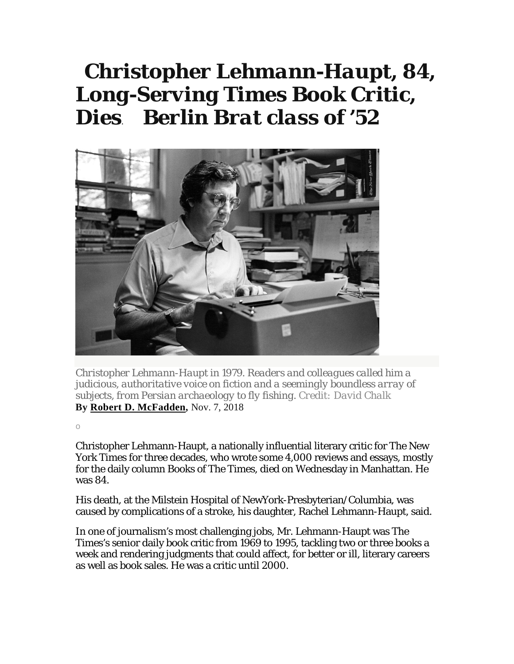## *Christopher Lehmann-Haupt, 84, Long-Serving Times Book Critic, Dies*. *Berlin Brat class of '52*



*Christopher Lehmann-Haupt in 1979. Readers and colleagues called him a judicious, authoritative voice on fiction and a seemingly boundless array of subjects, from Persian archaeology to fly fishing. Credit: David Chalk* **By Robert D. McFadden,** Nov. 7, 2018

o

Christopher Lehmann-Haupt, a nationally influential literary critic for The New York Times for three decades, who wrote some 4,000 reviews and essays, mostly for the daily column Books of The Times, died on Wednesday in Manhattan. He was 84.

His death, at the Milstein Hospital of NewYork-Presbyterian/Columbia, was caused by complications of a stroke, his daughter, Rachel Lehmann-Haupt, said.

In one of journalism's most challenging jobs, Mr. Lehmann-Haupt was The Times's senior daily book critic from 1969 to 1995, tackling two or three books a week and rendering judgments that could affect, for better or ill, literary careers as well as book sales. He was a critic until 2000.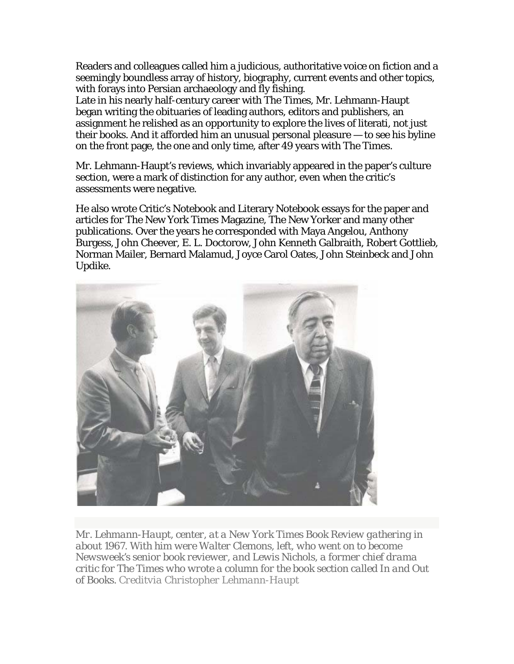Readers and colleagues called him a judicious, authoritative voice on fiction and a seemingly boundless array of history, biography, current events and other topics, with forays into Persian archaeology and fly fishing.

Late in his nearly half-century career with The Times, Mr. Lehmann-Haupt began writing the obituaries of leading authors, editors and publishers, an assignment he relished as an opportunity to explore the lives of literati, not just their books. And it afforded him an unusual personal pleasure — to see his byline on the front page, the one and only time, after 49 years with The Times.

Mr. Lehmann-Haupt's reviews, which invariably appeared in the paper's culture section, were a mark of distinction for any author, even when the critic's assessments were negative.

He also wrote Critic's Notebook and Literary Notebook essays for the paper and articles for The New York Times Magazine, The New Yorker and many other publications. Over the years he corresponded with Maya Angelou, Anthony Burgess, John Cheever, E. L. Doctorow, John Kenneth Galbraith, Robert Gottlieb, Norman Mailer, Bernard Malamud, Joyce Carol Oates, John Steinbeck and John Updike.



*Mr. Lehmann-Haupt, center, at a New York Times Book Review gathering in about 1967. With him were Walter Clemons, left, who went on to become Newsweek's senior book reviewer, and Lewis Nichols, a former chief drama critic for The Times who wrote a column for the book section called In and Out of Books. Creditvia Christopher Lehmann-Haupt*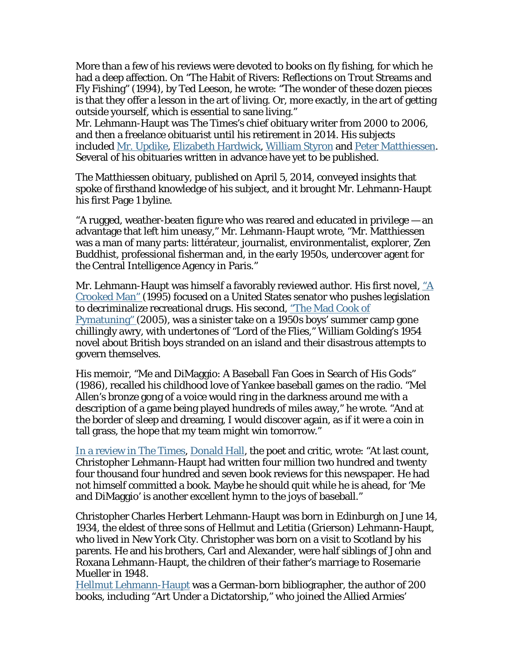More than a few of his reviews were devoted to books on fly fishing, for which he had a deep affection. On "The Habit of Rivers: Reflections on Trout Streams and Fly Fishing" (1994), by Ted Leeson, he wrote: "The wonder of these dozen pieces is that they offer a lesson in the art of living. Or, more exactly, in the art of getting outside yourself, which is essential to sane living."

Mr. Lehmann-Haupt was The Times's chief obituary writer from 2000 to 2006, and then a freelance obituarist until his retirement in 2014. His subjects included Mr. Updike, Elizabeth Hardwick, William Styron and Peter Matthiessen. Several of his obituaries written in advance have yet to be published.

The Matthiessen obituary, published on April 5, 2014, conveyed insights that spoke of firsthand knowledge of his subject, and it brought Mr. Lehmann-Haupt his first Page 1 byline.

"A rugged, weather-beaten figure who was reared and educated in privilege — an advantage that left him uneasy," Mr. Lehmann-Haupt wrote, "Mr. Matthiessen was a man of many parts: littérateur, journalist, environmentalist, explorer, Zen Buddhist, professional fisherman and, in the early 1950s, undercover agent for the Central Intelligence Agency in Paris."

Mr. Lehmann-Haupt was himself a favorably reviewed author. His first novel,  $\underline{A}$ Crooked Man" (1995) focused on a United States senator who pushes legislation to decriminalize recreational drugs. His second, "The Mad Cook of Pymatuning" (2005), was a sinister take on a 1950s boys' summer camp gone chillingly awry, with undertones of "Lord of the Flies," William Golding's 1954 novel about British boys stranded on an island and their disastrous attempts to govern themselves.

His memoir, "Me and DiMaggio: A Baseball Fan Goes in Search of His Gods" (1986), recalled his childhood love of Yankee baseball games on the radio. "Mel Allen's bronze gong of a voice would ring in the darkness around me with a description of a game being played hundreds of miles away," he wrote. "And at the border of sleep and dreaming, I would discover again, as if it were a coin in tall grass, the hope that my team might win tomorrow."

In a review in The Times, Donald Hall, the poet and critic, wrote: "At last count, Christopher Lehmann-Haupt had written four million two hundred and twenty four thousand four hundred and seven book reviews for this newspaper. He had not himself committed a book. Maybe he should quit while he is ahead, for 'Me and DiMaggio' is another excellent hymn to the joys of baseball."

Christopher Charles Herbert Lehmann-Haupt was born in Edinburgh on June 14, 1934, the eldest of three sons of Hellmut and Letitia (Grierson) Lehmann-Haupt, who lived in New York City. Christopher was born on a visit to Scotland by his parents. He and his brothers, Carl and Alexander, were half siblings of John and Roxana Lehmann-Haupt, the children of their father's marriage to Rosemarie Mueller in 1948.

Hellmut Lehmann-Haupt was a German-born bibliographer, the author of 200 books, including "Art Under a Dictatorship," who joined the Allied Armies'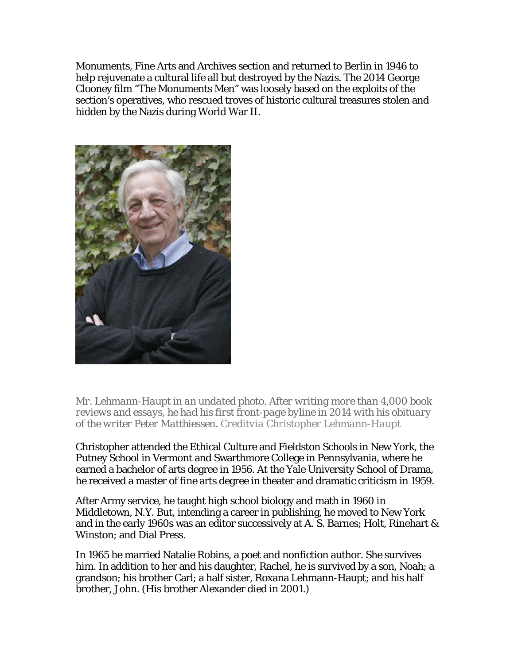Monuments, Fine Arts and Archives section and returned to Berlin in 1946 to help rejuvenate a cultural life all but destroyed by the Nazis. The 2014 George Clooney film "The Monuments Men" was loosely based on the exploits of the section's operatives, who rescued troves of historic cultural treasures stolen and hidden by the Nazis during World War II.



*Mr. Lehmann-Haupt in an undated photo. After writing more than 4,000 book reviews and essays, he had his first front-page byline in 2014 with his obituary of the writer Peter Matthiessen. Creditvia Christopher Lehmann-Haupt*

Christopher attended the Ethical Culture and Fieldston Schools in New York, the Putney School in Vermont and Swarthmore College in Pennsylvania, where he earned a bachelor of arts degree in 1956. At the Yale University School of Drama, he received a master of fine arts degree in theater and dramatic criticism in 1959.

After Army service, he taught high school biology and math in 1960 in Middletown, N.Y. But, intending a career in publishing, he moved to New York and in the early 1960s was an editor successively at A. S. Barnes; Holt, Rinehart & Winston; and Dial Press.

In 1965 he married Natalie Robins, a poet and nonfiction author. She survives him. In addition to her and his daughter, Rachel, he is survived by a son, Noah; a grandson; his brother Carl; a half sister, Roxana Lehmann-Haupt; and his half brother, John. (His brother Alexander died in 2001.)